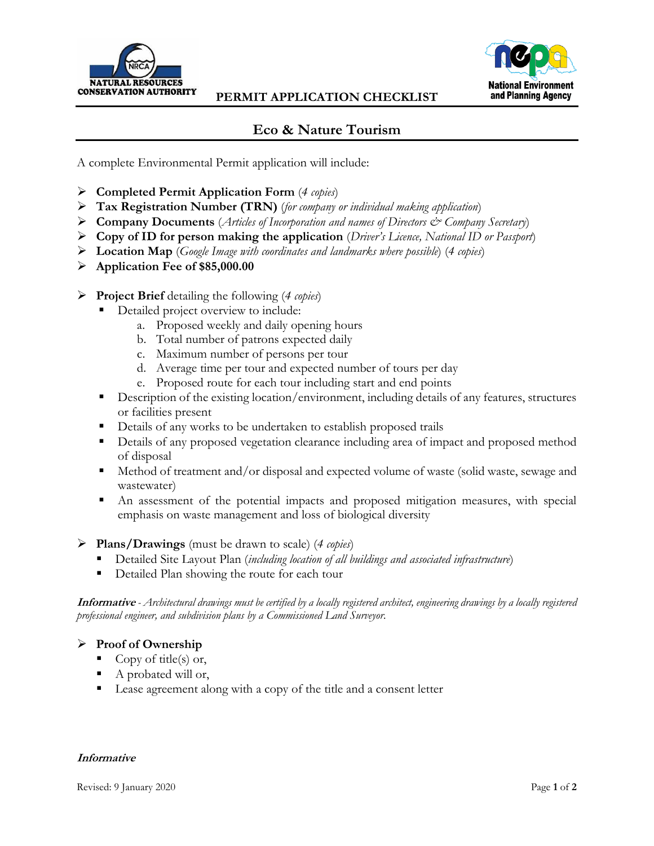



## **Eco & Nature Tourism**

A complete Environmental Permit application will include:

- **Completed Permit Application Form** (*4 copies*)
- **Tax Registration Number (TRN)** (*for company or individual making application*)
- **Company Documents** (*Articles of Incorporation and names of Directors & Company Secretary*)
- **Copy of ID for person making the application** (*Driver's Licence, National ID or Passport*)
- **Location Map** (*Google Image with coordinates and landmarks where possible*) (*4 copies*)
- **Application Fee of \$85,000.00**
- **Project Brief** detailing the following (*4 copies*)
	- Detailed project overview to include:
		- a. Proposed weekly and daily opening hours
		- b. Total number of patrons expected daily
		- c. Maximum number of persons per tour
		- d. Average time per tour and expected number of tours per day
		- e. Proposed route for each tour including start and end points
	- Description of the existing location/environment, including details of any features, structures or facilities present
	- Details of any works to be undertaken to establish proposed trails
	- Details of any proposed vegetation clearance including area of impact and proposed method of disposal
	- Method of treatment and/or disposal and expected volume of waste (solid waste, sewage and wastewater)
	- An assessment of the potential impacts and proposed mitigation measures, with special emphasis on waste management and loss of biological diversity

## **Plans/Drawings** (must be drawn to scale) (*4 copies*)

- Detailed Site Layout Plan (*including location of all buildings and associated infrastructure*)
- Detailed Plan showing the route for each tour

**Informative** *- Architectural drawings must be certified by a locally registered architect, engineering drawings by a locally registered professional engineer, and subdivision plans by a Commissioned Land Surveyor.*

## **Proof of Ownership**

- Copy of title(s) or,
- A probated will or,
- Lease agreement along with a copy of the title and a consent letter

## **Informative**